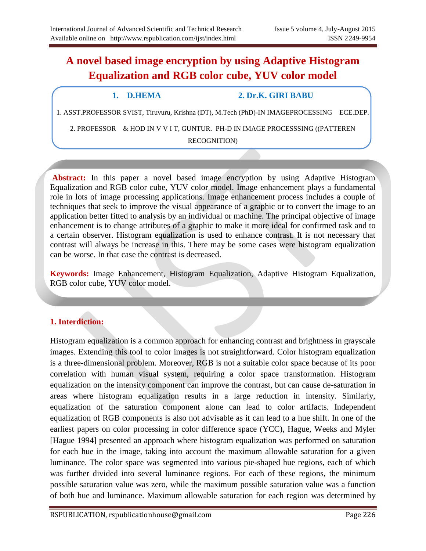# **A novel based image encryption by using Adaptive Histogram Equalization and RGB color cube, YUV color model**

#### **1. D.HEMA 2. Dr.K. GIRI BABU**

1. ASST.PROFESSOR SVIST, Tiruvuru, Krishna (DT), M.Tech (PhD)-IN IMAGEPROCESSING ECE.DEP.

2. PROFESSOR & HOD IN V V I T, GUNTUR. PH-D IN IMAGE PROCESSSING ((PATTEREN RECOGNITION)

**Abstract:** In this paper a novel based image encryption by using Adaptive Histogram Equalization and RGB color cube, YUV color model. Image enhancement plays a fundamental role in lots of image processing applications. Image enhancement process includes a couple of techniques that seek to improve the visual appearance of a graphic or to convert the image to an application better fitted to analysis by an individual or machine. The principal objective of image enhancement is to change attributes of a graphic to make it more ideal for confirmed task and to a certain observer. Histogram equalization is used to enhance contrast. It is not necessary that contrast will always be increase in this. There may be some cases were histogram equalization can be worse. In that case the contrast is decreased.

**Keywords:** Image Enhancement, Histogram Equalization, Adaptive Histogram Equalization, RGB color cube, YUV color model.

# **1. Interdiction:**

Histogram equalization is a common approach for enhancing contrast and brightness in grayscale images. Extending this tool to color images is not straightforward. Color histogram equalization is a three-dimensional problem. Moreover, RGB is not a suitable color space because of its poor correlation with human visual system, requiring a color space transformation. Histogram equalization on the intensity component can improve the contrast, but can cause de-saturation in areas where histogram equalization results in a large reduction in intensity. Similarly, equalization of the saturation component alone can lead to color artifacts. Independent equalization of RGB components is also not advisable as it can lead to a hue shift. In one of the earliest papers on color processing in color difference space (YCC), Hague, Weeks and Myler [Hague 1994] presented an approach where histogram equalization was performed on saturation for each hue in the image, taking into account the maximum allowable saturation for a given luminance. The color space was segmented into various pie-shaped hue regions, each of which was further divided into several luminance regions. For each of these regions, the minimum possible saturation value was zero, while the maximum possible saturation value was a function of both hue and luminance. Maximum allowable saturation for each region was determined by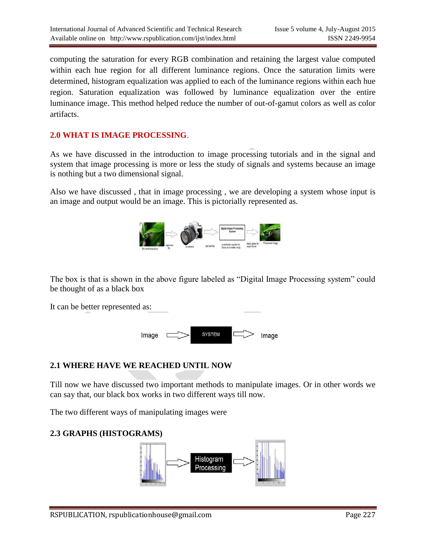computing the saturation for every RGB combination and retaining the largest value computed within each hue region for all different luminance regions. Once the saturation limits were determined, histogram equalization was applied to each of the luminance regions within each hue region. Saturation equalization was followed by luminance equalization over the entire luminance image. This method helped reduce the number of out-of-gamut colors as well as color artifacts.

## **2.0 WHAT IS IMAGE PROCESSING**.

As we have discussed in the introduction to image processing tutorials and in the signal and system that image processing is more or less the study of signals and systems because an image is nothing but a two dimensional signal.

Also we have discussed , that in image processing , we are developing a system whose input is an image and output would be an image. This is pictorially represented as.



The box is that is shown in the above figure labeled as "Digital Image Processing system" could be thought of as a black box

It can be better represented as:



# **2.1 WHERE HAVE WE REACHED UNTIL NOW**

Till now we have discussed two important methods to manipulate images. Or in other words we can say that, our black box works in two different ways till now.

The two different ways of manipulating images were

### **2.3 GRAPHS (HISTOGRAMS)**

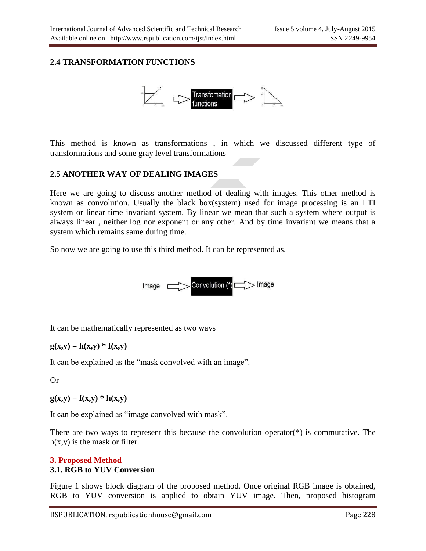#### **2.4 TRANSFORMATION FUNCTIONS**



This method is known as transformations , in which we discussed different type of transformations and some gray level transformations

#### **2.5 ANOTHER WAY OF DEALING IMAGES**

Here we are going to discuss another method of dealing with images. This other method is known as convolution. Usually the black box(system) used for image processing is an LTI system or linear time invariant system. By linear we mean that such a system where output is always linear , neither log nor exponent or any other. And by time invariant we means that a system which remains same during time.

So now we are going to use this third method. It can be represented as.



It can be mathematically represented as two ways

$$
g(x,y) = h(x,y) * f(x,y)
$$

It can be explained as the "mask convolved with an image".

Or

 $g(x,y) = f(x,y) * h(x,y)$ 

It can be explained as "image convolved with mask".

There are two ways to represent this because the convolution operator(\*) is commutative. The  $h(x,y)$  is the mask or filter.

### **3. Proposed Method 3.1. RGB to YUV Conversion**

Figure 1 shows block diagram of the proposed method. Once original RGB image is obtained, RGB to YUV conversion is applied to obtain YUV image. Then, proposed histogram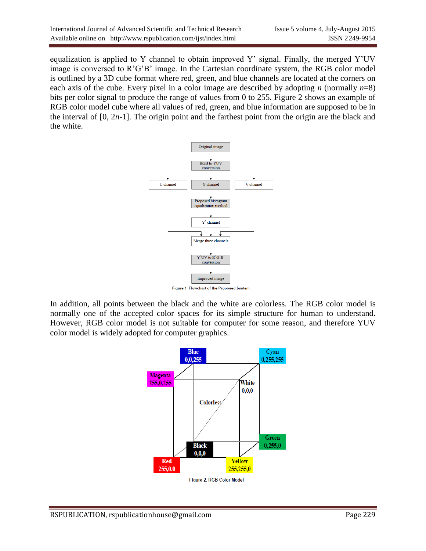equalization is applied to Y channel to obtain improved Y' signal. Finally, the merged Y'UV image is conversed to R'G'B' image. In the Cartesian coordinate system, the RGB color model is outlined by a 3D cube format where red, green, and blue channels are located at the corners on each axis of the cube. Every pixel in a color image are described by adopting *n* (normally  $n=8$ ) bits per color signal to produce the range of values from 0 to 255. Figure 2 shows an example of RGB color model cube where all values of red, green, and blue information are supposed to be in the interval of [0, 2*n*-1]. The origin point and the farthest point from the origin are the black and the white.



Figure 1. Flowchart of the Proposed System

In addition, all points between the black and the white are colorless. The RGB color model is normally one of the accepted color spaces for its simple structure for human to understand. However, RGB color model is not suitable for computer for some reason, and therefore YUV color model is widely adopted for computer graphics.

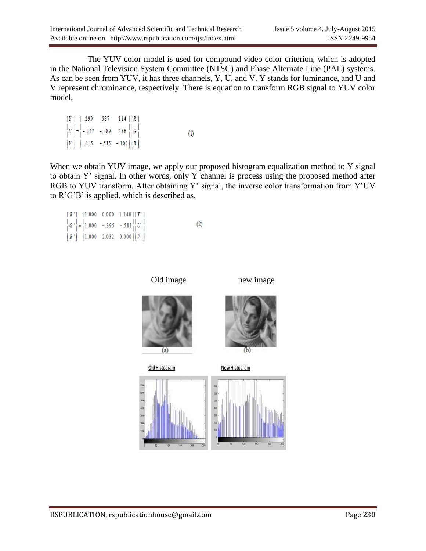The YUV color model is used for compound video color criterion, which is adopted in the National Television System Committee (NTSC) and Phase Alternate Line (PAL) systems. As can be seen from YUV, it has three channels, Y, U, and V. Y stands for luminance, and U and V represent chrominance, respectively. There is equation to transform RGB signal to YUV color model,

 $\lceil Y \rceil$   $\lceil .299 \rceil$  .587 .114  $\lceil R \rceil$  $\begin{bmatrix} U \\ V \end{bmatrix} = \begin{bmatrix} -.147 & -.289 & .436 \\ .615 & -.515 & -.100 \end{bmatrix} \begin{bmatrix} G \\ B \end{bmatrix}$  $(1)$ 

When we obtain YUV image, we apply our proposed histogram equalization method to Y signal to obtain Y' signal. In other words, only Y channel is process using the proposed method after RGB to YUV transform. After obtaining Y' signal, the inverse color transformation from Y'UV to R'G'B' is applied, which is described as,

```
\lceil R' \rceil \lceil 1.000 \rceil 0.000 \rceil 1.140 \rceil \lceil Y' \rceil|G'| = |1.000 - 0.395 - 0.581||U|(2)|B'| 1.000 2.032 0.000 ||V||
```
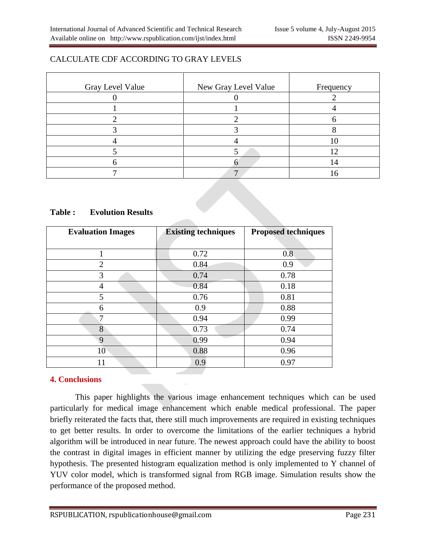# CALCULATE CDF ACCORDING TO GRAY LEVELS

| Gray Level Value | New Gray Level Value | Frequency |
|------------------|----------------------|-----------|
|                  |                      |           |
|                  |                      |           |
|                  |                      |           |
|                  |                      |           |
|                  |                      |           |
|                  |                      |           |
|                  |                      |           |
|                  |                      |           |

### **Table : Evolution Results**

| <b>Evaluation Images</b> | <b>Existing techniques</b> | <b>Proposed techniques</b> |
|--------------------------|----------------------------|----------------------------|
|                          |                            |                            |
| 1                        | 0.72                       | 0.8                        |
| $\overline{2}$           | 0.84                       | 0.9                        |
| 3                        | 0.74                       | 0.78                       |
| $\overline{4}$           | 0.84                       | 0.18                       |
| 5                        | 0.76                       | 0.81                       |
| 6                        | 0.9                        | 0.88                       |
| 7                        | 0.94                       | 0.99                       |
| 8                        | 0.73                       | 0.74                       |
| 9                        | 0.99                       | 0.94                       |
| 10                       | 0.88                       | 0.96                       |
| 11                       | 0.9                        | 0.97                       |

### **4. Conclusions**

This paper highlights the various image enhancement techniques which can be used particularly for medical image enhancement which enable medical professional. The paper briefly reiterated the facts that, there still much improvements are required in existing techniques to get better results. In order to overcome the limitations of the earlier techniques a hybrid algorithm will be introduced in near future. The newest approach could have the ability to boost the contrast in digital images in efficient manner by utilizing the edge preserving fuzzy filter hypothesis. The presented histogram equalization method is only implemented to Y channel of YUV color model, which is transformed signal from RGB image. Simulation results show the performance of the proposed method.